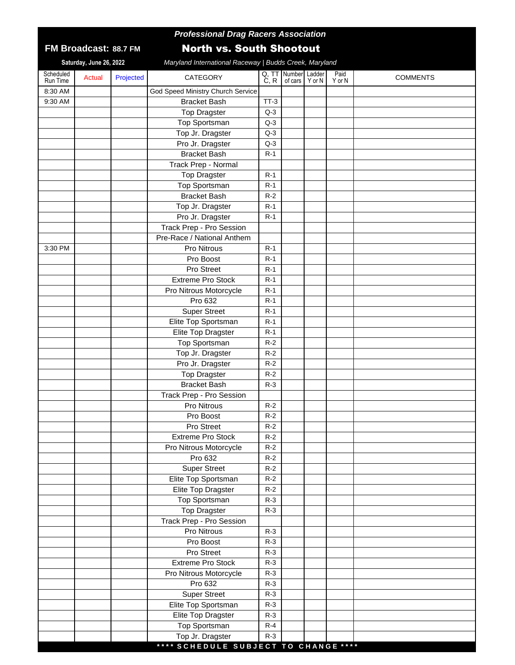## **88.7 FM FM Broadcast:**

## *Professional Drag Racers Association*

## North vs. South Shootout

**Saturday, June 26, 2022**

*Maryland International Raceway | Budds Creek, Maryland*

| 8:30 AM<br>God Speed Ministry Church Service<br>9:30 AM<br><b>Bracket Bash</b><br>$TT-3$<br><b>Top Dragster</b><br>$Q-3$<br><b>Top Sportsman</b><br>$Q-3$<br>Top Jr. Dragster<br>$Q-3$<br>Pro Jr. Dragster<br>$Q-3$<br><b>Bracket Bash</b><br>$R-1$<br>Track Prep - Normal<br><b>Top Dragster</b><br>$R-1$<br><b>Top Sportsman</b><br>$R-1$<br><b>Bracket Bash</b><br>$R-2$<br>Top Jr. Dragster<br>$R-1$<br>Pro Jr. Dragster<br>$R-1$<br>Track Prep - Pro Session<br>Pre-Race / National Anthem<br>Pro Nitrous<br>$R-1$<br>3:30 PM<br>Pro Boost<br>$R-1$<br>Pro Street<br>$R-1$<br>Extreme Pro Stock<br>$R-1$<br>Pro Nitrous Motorcycle<br>$R-1$<br>Pro 632<br>$R-1$<br><b>Super Street</b><br>$R-1$<br>Elite Top Sportsman<br>$R-1$<br>Elite Top Dragster<br>$R-1$<br><b>Top Sportsman</b><br>$R-2$<br>$R-2$<br>Top Jr. Dragster<br>Pro Jr. Dragster<br>$R-2$<br><b>Top Dragster</b><br>$R-2$<br><b>Bracket Bash</b><br>$R-3$<br>Track Prep - Pro Session |
|------------------------------------------------------------------------------------------------------------------------------------------------------------------------------------------------------------------------------------------------------------------------------------------------------------------------------------------------------------------------------------------------------------------------------------------------------------------------------------------------------------------------------------------------------------------------------------------------------------------------------------------------------------------------------------------------------------------------------------------------------------------------------------------------------------------------------------------------------------------------------------------------------------------------------------------------------------|
|                                                                                                                                                                                                                                                                                                                                                                                                                                                                                                                                                                                                                                                                                                                                                                                                                                                                                                                                                            |
|                                                                                                                                                                                                                                                                                                                                                                                                                                                                                                                                                                                                                                                                                                                                                                                                                                                                                                                                                            |
|                                                                                                                                                                                                                                                                                                                                                                                                                                                                                                                                                                                                                                                                                                                                                                                                                                                                                                                                                            |
|                                                                                                                                                                                                                                                                                                                                                                                                                                                                                                                                                                                                                                                                                                                                                                                                                                                                                                                                                            |
|                                                                                                                                                                                                                                                                                                                                                                                                                                                                                                                                                                                                                                                                                                                                                                                                                                                                                                                                                            |
|                                                                                                                                                                                                                                                                                                                                                                                                                                                                                                                                                                                                                                                                                                                                                                                                                                                                                                                                                            |
|                                                                                                                                                                                                                                                                                                                                                                                                                                                                                                                                                                                                                                                                                                                                                                                                                                                                                                                                                            |
|                                                                                                                                                                                                                                                                                                                                                                                                                                                                                                                                                                                                                                                                                                                                                                                                                                                                                                                                                            |
|                                                                                                                                                                                                                                                                                                                                                                                                                                                                                                                                                                                                                                                                                                                                                                                                                                                                                                                                                            |
|                                                                                                                                                                                                                                                                                                                                                                                                                                                                                                                                                                                                                                                                                                                                                                                                                                                                                                                                                            |
|                                                                                                                                                                                                                                                                                                                                                                                                                                                                                                                                                                                                                                                                                                                                                                                                                                                                                                                                                            |
|                                                                                                                                                                                                                                                                                                                                                                                                                                                                                                                                                                                                                                                                                                                                                                                                                                                                                                                                                            |
|                                                                                                                                                                                                                                                                                                                                                                                                                                                                                                                                                                                                                                                                                                                                                                                                                                                                                                                                                            |
|                                                                                                                                                                                                                                                                                                                                                                                                                                                                                                                                                                                                                                                                                                                                                                                                                                                                                                                                                            |
|                                                                                                                                                                                                                                                                                                                                                                                                                                                                                                                                                                                                                                                                                                                                                                                                                                                                                                                                                            |
|                                                                                                                                                                                                                                                                                                                                                                                                                                                                                                                                                                                                                                                                                                                                                                                                                                                                                                                                                            |
|                                                                                                                                                                                                                                                                                                                                                                                                                                                                                                                                                                                                                                                                                                                                                                                                                                                                                                                                                            |
|                                                                                                                                                                                                                                                                                                                                                                                                                                                                                                                                                                                                                                                                                                                                                                                                                                                                                                                                                            |
|                                                                                                                                                                                                                                                                                                                                                                                                                                                                                                                                                                                                                                                                                                                                                                                                                                                                                                                                                            |
|                                                                                                                                                                                                                                                                                                                                                                                                                                                                                                                                                                                                                                                                                                                                                                                                                                                                                                                                                            |
|                                                                                                                                                                                                                                                                                                                                                                                                                                                                                                                                                                                                                                                                                                                                                                                                                                                                                                                                                            |
|                                                                                                                                                                                                                                                                                                                                                                                                                                                                                                                                                                                                                                                                                                                                                                                                                                                                                                                                                            |
|                                                                                                                                                                                                                                                                                                                                                                                                                                                                                                                                                                                                                                                                                                                                                                                                                                                                                                                                                            |
|                                                                                                                                                                                                                                                                                                                                                                                                                                                                                                                                                                                                                                                                                                                                                                                                                                                                                                                                                            |
|                                                                                                                                                                                                                                                                                                                                                                                                                                                                                                                                                                                                                                                                                                                                                                                                                                                                                                                                                            |
|                                                                                                                                                                                                                                                                                                                                                                                                                                                                                                                                                                                                                                                                                                                                                                                                                                                                                                                                                            |
|                                                                                                                                                                                                                                                                                                                                                                                                                                                                                                                                                                                                                                                                                                                                                                                                                                                                                                                                                            |
|                                                                                                                                                                                                                                                                                                                                                                                                                                                                                                                                                                                                                                                                                                                                                                                                                                                                                                                                                            |
|                                                                                                                                                                                                                                                                                                                                                                                                                                                                                                                                                                                                                                                                                                                                                                                                                                                                                                                                                            |
|                                                                                                                                                                                                                                                                                                                                                                                                                                                                                                                                                                                                                                                                                                                                                                                                                                                                                                                                                            |
| Pro Nitrous<br>$R-2$                                                                                                                                                                                                                                                                                                                                                                                                                                                                                                                                                                                                                                                                                                                                                                                                                                                                                                                                       |
| $R-2$<br>Pro Boost                                                                                                                                                                                                                                                                                                                                                                                                                                                                                                                                                                                                                                                                                                                                                                                                                                                                                                                                         |
| Pro Street<br>$R-2$                                                                                                                                                                                                                                                                                                                                                                                                                                                                                                                                                                                                                                                                                                                                                                                                                                                                                                                                        |
| <b>Extreme Pro Stock</b><br>$R-2$                                                                                                                                                                                                                                                                                                                                                                                                                                                                                                                                                                                                                                                                                                                                                                                                                                                                                                                          |
| Pro Nitrous Motorcycle<br>$R-2$                                                                                                                                                                                                                                                                                                                                                                                                                                                                                                                                                                                                                                                                                                                                                                                                                                                                                                                            |
| Pro 632<br>$R-2$                                                                                                                                                                                                                                                                                                                                                                                                                                                                                                                                                                                                                                                                                                                                                                                                                                                                                                                                           |
| <b>Super Street</b><br>$R-2$                                                                                                                                                                                                                                                                                                                                                                                                                                                                                                                                                                                                                                                                                                                                                                                                                                                                                                                               |
| Elite Top Sportsman<br>$R-2$                                                                                                                                                                                                                                                                                                                                                                                                                                                                                                                                                                                                                                                                                                                                                                                                                                                                                                                               |
| Elite Top Dragster<br>$R-2$                                                                                                                                                                                                                                                                                                                                                                                                                                                                                                                                                                                                                                                                                                                                                                                                                                                                                                                                |
| Top Sportsman<br>$R-3$                                                                                                                                                                                                                                                                                                                                                                                                                                                                                                                                                                                                                                                                                                                                                                                                                                                                                                                                     |
| <b>Top Dragster</b><br>$R-3$                                                                                                                                                                                                                                                                                                                                                                                                                                                                                                                                                                                                                                                                                                                                                                                                                                                                                                                               |
| Track Prep - Pro Session                                                                                                                                                                                                                                                                                                                                                                                                                                                                                                                                                                                                                                                                                                                                                                                                                                                                                                                                   |
| Pro Nitrous<br>$R-3$                                                                                                                                                                                                                                                                                                                                                                                                                                                                                                                                                                                                                                                                                                                                                                                                                                                                                                                                       |
| Pro Boost<br>$R-3$                                                                                                                                                                                                                                                                                                                                                                                                                                                                                                                                                                                                                                                                                                                                                                                                                                                                                                                                         |
| Pro Street<br>$R-3$                                                                                                                                                                                                                                                                                                                                                                                                                                                                                                                                                                                                                                                                                                                                                                                                                                                                                                                                        |
| <b>Extreme Pro Stock</b><br>$R-3$                                                                                                                                                                                                                                                                                                                                                                                                                                                                                                                                                                                                                                                                                                                                                                                                                                                                                                                          |
| Pro Nitrous Motorcycle<br>$R-3$                                                                                                                                                                                                                                                                                                                                                                                                                                                                                                                                                                                                                                                                                                                                                                                                                                                                                                                            |
| Pro 632<br>$R-3$                                                                                                                                                                                                                                                                                                                                                                                                                                                                                                                                                                                                                                                                                                                                                                                                                                                                                                                                           |
| <b>Super Street</b><br>$R-3$                                                                                                                                                                                                                                                                                                                                                                                                                                                                                                                                                                                                                                                                                                                                                                                                                                                                                                                               |
| Elite Top Sportsman<br>$R-3$                                                                                                                                                                                                                                                                                                                                                                                                                                                                                                                                                                                                                                                                                                                                                                                                                                                                                                                               |
| Elite Top Dragster<br>$R-3$                                                                                                                                                                                                                                                                                                                                                                                                                                                                                                                                                                                                                                                                                                                                                                                                                                                                                                                                |
| <b>Top Sportsman</b><br>$R-4$                                                                                                                                                                                                                                                                                                                                                                                                                                                                                                                                                                                                                                                                                                                                                                                                                                                                                                                              |
| Top Jr. Dragster<br>$R-3$<br>**** SCHEDULE SUBJECT TO CHANGE ****                                                                                                                                                                                                                                                                                                                                                                                                                                                                                                                                                                                                                                                                                                                                                                                                                                                                                          |